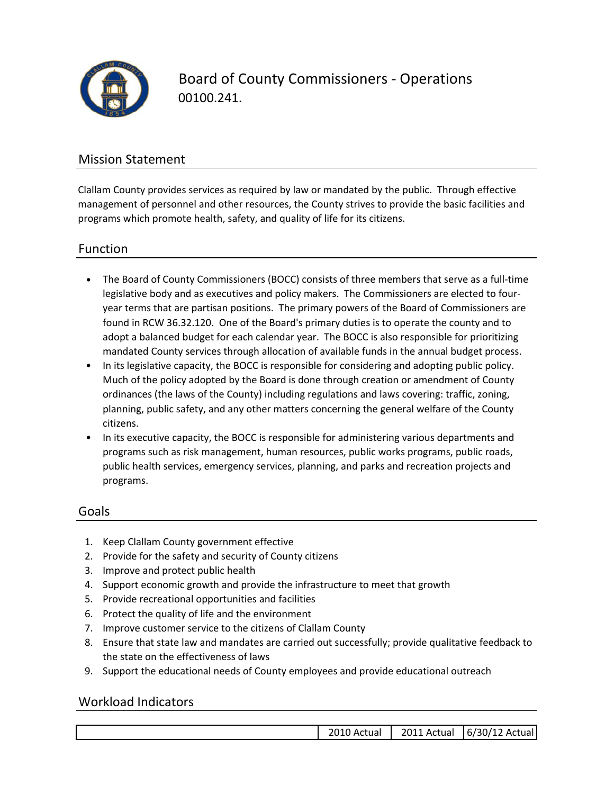

Board of County Commissioners ‐ Operations 00100.241.

## Mission Statement

Clallam County provides services as required by law or mandated by the public. Through effective management of personnel and other resources, the County strives to provide the basic facilities and programs which promote health, safety, and quality of life for its citizens.

### Function

- The Board of County Commissioners (BOCC) consists of three members that serve as a full‐time legislative body and as executives and policy makers. The Commissioners are elected to four‐ year terms that are partisan positions. The primary powers of the Board of Commissioners are found in RCW 36.32.120. One of the Board's primary duties is to operate the county and to adopt a balanced budget for each calendar year. The BOCC is also responsible for prioritizing mandated County services through allocation of available funds in the annual budget process.
- In its legislative capacity, the BOCC is responsible for considering and adopting public policy. Much of the policy adopted by the Board is done through creation or amendment of County ordinances (the laws of the County) including regulations and laws covering: traffic, zoning, planning, public safety, and any other matters concerning the general welfare of the County citizens.
- In its executive capacity, the BOCC is responsible for administering various departments and programs such as risk management, human resources, public works programs, public roads, public health services, emergency services, planning, and parks and recreation projects and programs.

### Goals

- 1. Keep Clallam County government effective
- 2. Provide for the safety and security of County citizens
- 3. Improve and protect public health
- 4. Support economic growth and provide the infrastructure to meet that growth
- 5. Provide recreational opportunities and facilities
- 6. Protect the quality of life and the environment
- 7. Improve customer service to the citizens of Clallam County
- 8. Ensure that state law and mandates are carried out successfully; provide qualitative feedback to the state on the effectiveness of laws
- 9. Support the educational needs of County employees and provide educational outreach

### Workload Indicators

| Actual | 201<br>-Actual | :ual l<br>Ac<br>16/30/1<br>-- |
|--------|----------------|-------------------------------|
|        |                |                               |